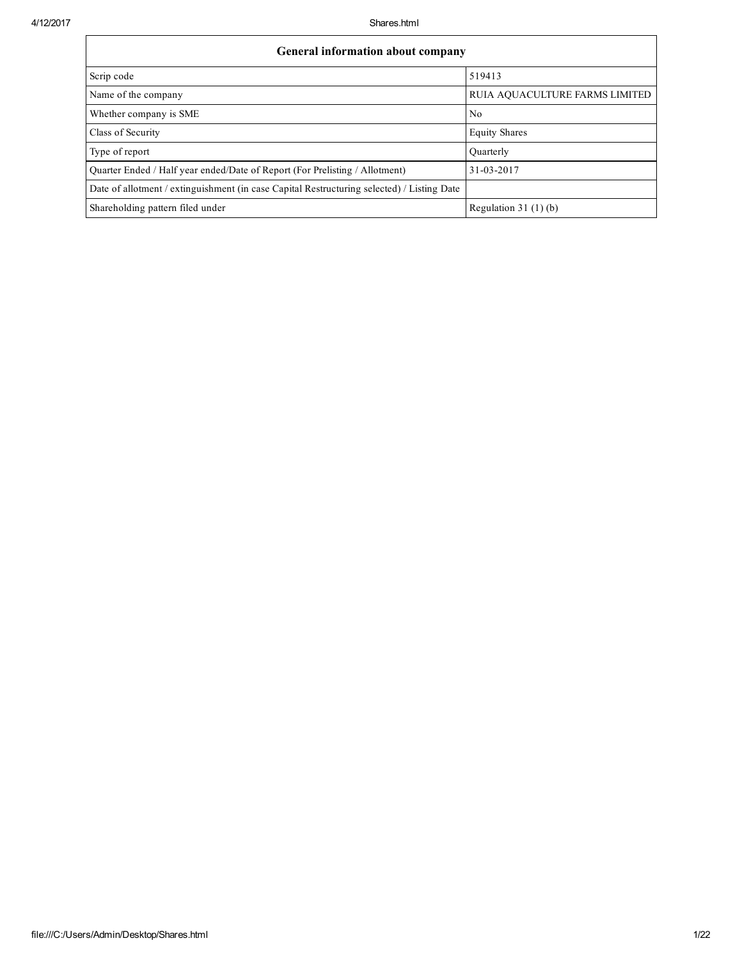$\mathbf{r}$ 

| General information about company                                                          |                                |  |  |  |  |  |  |
|--------------------------------------------------------------------------------------------|--------------------------------|--|--|--|--|--|--|
| Scrip code                                                                                 | 519413                         |  |  |  |  |  |  |
| Name of the company                                                                        | RUIA AQUACULTURE FARMS LIMITED |  |  |  |  |  |  |
| Whether company is SME                                                                     | No                             |  |  |  |  |  |  |
| Class of Security                                                                          | <b>Equity Shares</b>           |  |  |  |  |  |  |
| Type of report                                                                             | Ouarterly                      |  |  |  |  |  |  |
| Quarter Ended / Half year ended/Date of Report (For Prelisting / Allotment)                | 31-03-2017                     |  |  |  |  |  |  |
| Date of allotment / extinguishment (in case Capital Restructuring selected) / Listing Date |                                |  |  |  |  |  |  |
| Shareholding pattern filed under                                                           | Regulation $31(1)(b)$          |  |  |  |  |  |  |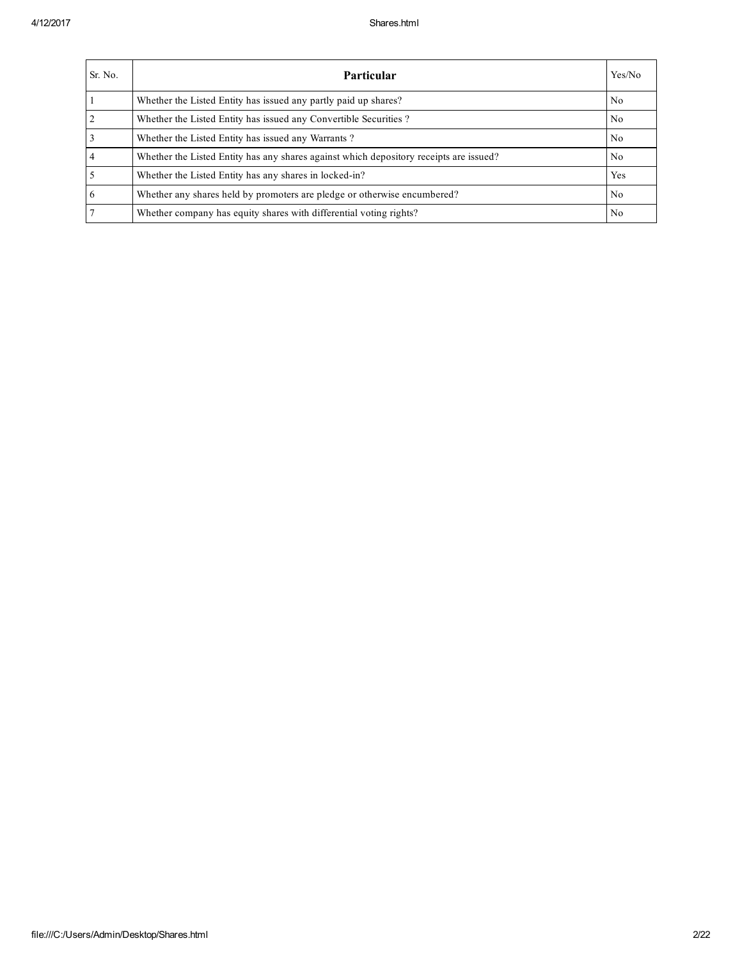| Sr. No.         | <b>Particular</b>                                                                      | Yes/No         |
|-----------------|----------------------------------------------------------------------------------------|----------------|
|                 | Whether the Listed Entity has issued any partly paid up shares?                        | N <sub>0</sub> |
| $\overline{2}$  | Whether the Listed Entity has issued any Convertible Securities?                       | No             |
| $\overline{3}$  | Whether the Listed Entity has issued any Warrants?                                     | N <sub>0</sub> |
| $\overline{4}$  | Whether the Listed Entity has any shares against which depository receipts are issued? | No             |
| $\overline{5}$  | Whether the Listed Entity has any shares in locked-in?                                 | Yes            |
| $6\overline{6}$ | Whether any shares held by promoters are pledge or otherwise encumbered?               | N <sub>0</sub> |
| $\overline{7}$  | Whether company has equity shares with differential voting rights?                     | No             |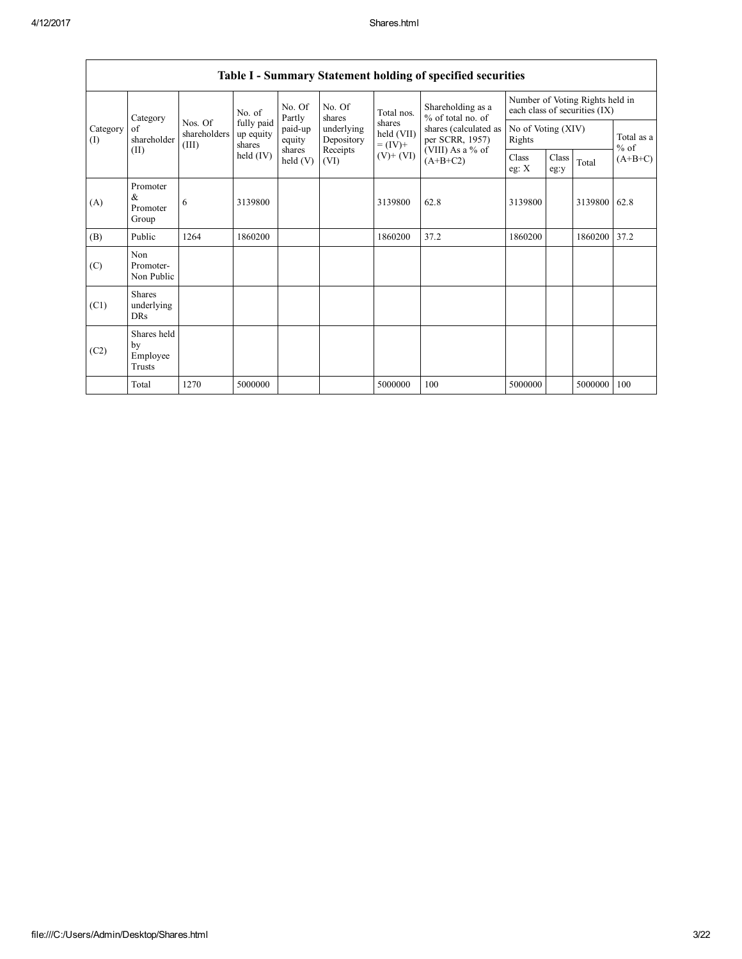|                 |                                           |                                  |                                   |                   |                          |                                    | Table 1 - Summary Statement holding or specified securities |                              |               |                                                                  |                      |
|-----------------|-------------------------------------------|----------------------------------|-----------------------------------|-------------------|--------------------------|------------------------------------|-------------------------------------------------------------|------------------------------|---------------|------------------------------------------------------------------|----------------------|
|                 | Category                                  |                                  | No. of                            | No. Of<br>Partly  | No. Of<br>shares         | Total nos.                         | Shareholding as a<br>% of total no. of                      |                              |               | Number of Voting Rights held in<br>each class of securities (IX) |                      |
| Category<br>(I) | of<br>shareholder                         | Nos. Of<br>shareholders<br>(III) | fully paid<br>up equity<br>shares | paid-up<br>equity | underlying<br>Depository | shares<br>held (VII)<br>$= (IV) +$ | shares (calculated as<br>per SCRR, 1957)                    | No of Voting (XIV)<br>Rights |               |                                                                  | Total as a<br>$%$ of |
|                 | (II)                                      |                                  | $\text{held (IV)}$                | shares<br>held(V) | Receipts<br>(VI)         | $(V)$ + $(VI)$                     | (VIII) As a % of<br>$(A+B+C2)$                              | Class<br>eg: $X$             | Class<br>eg:y | Total                                                            | $(A+B+C)$            |
| (A)             | Promoter<br>$\&$<br>Promoter<br>Group     | 6                                | 3139800                           |                   |                          | 3139800                            | 62.8                                                        | 3139800                      |               | 3139800                                                          | 62.8                 |
| (B)             | Public                                    | 1264                             | 1860200                           |                   |                          | 1860200                            | 37.2                                                        | 1860200                      |               | 1860200                                                          | 37.2                 |
| (C)             | Non<br>Promoter-<br>Non Public            |                                  |                                   |                   |                          |                                    |                                                             |                              |               |                                                                  |                      |
| (C1)            | <b>Shares</b><br>underlying<br><b>DRs</b> |                                  |                                   |                   |                          |                                    |                                                             |                              |               |                                                                  |                      |
| (C2)            | Shares held<br>by<br>Employee<br>Trusts   |                                  |                                   |                   |                          |                                    |                                                             |                              |               |                                                                  |                      |
|                 | Total                                     | 1270                             | 5000000                           |                   |                          | 5000000                            | 100                                                         | 5000000                      |               | 5000000                                                          | 100                  |

| Table I - Summary Statement holding of specified securities |  |  |
|-------------------------------------------------------------|--|--|
|                                                             |  |  |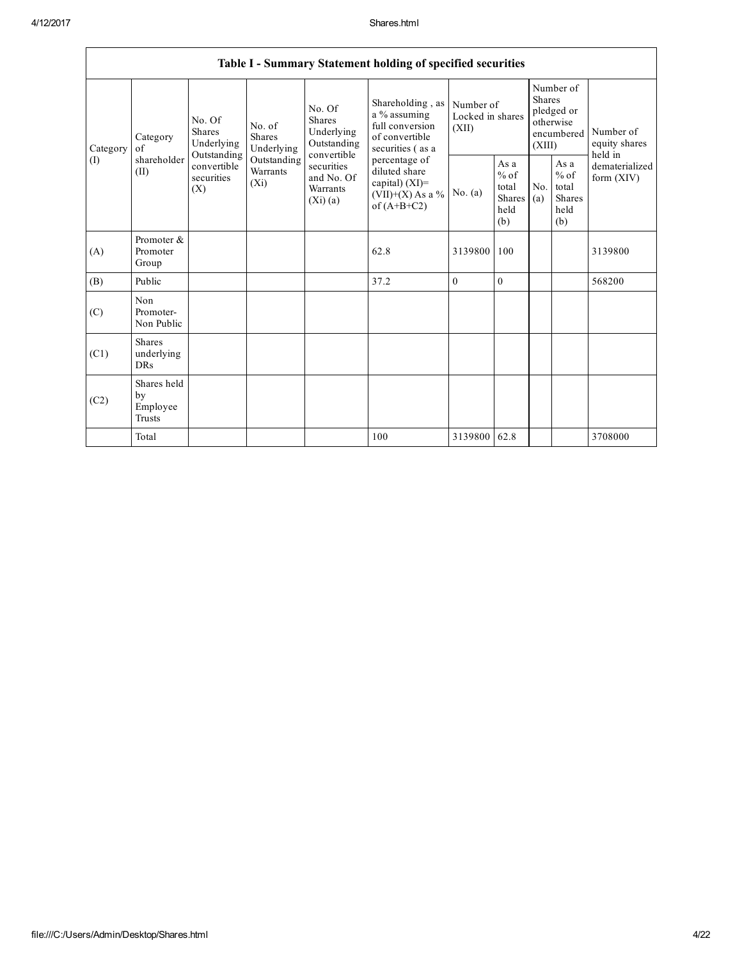|          |                                           |                                                      |                                              |                                                                     | Table I - Summary Statement holding of specified securities                                |                                        |                                                         |                         |                                                    |                                       |
|----------|-------------------------------------------|------------------------------------------------------|----------------------------------------------|---------------------------------------------------------------------|--------------------------------------------------------------------------------------------|----------------------------------------|---------------------------------------------------------|-------------------------|----------------------------------------------------|---------------------------------------|
| Category | Category<br>of                            | No. Of<br><b>Shares</b><br>Underlying<br>Outstanding | No. of<br><b>Shares</b><br>Underlying        | No. Of<br><b>Shares</b><br>Underlying<br>Outstanding<br>convertible | Shareholding, as<br>a % assuming<br>full conversion<br>of convertible<br>securities (as a  | Number of<br>Locked in shares<br>(XII) |                                                         | <b>Shares</b><br>(XIII) | Number of<br>pledged or<br>otherwise<br>encumbered | Number of<br>equity shares<br>held in |
| (I)      | shareholder<br>(II)                       | convertible<br>securities<br>(X)                     | Outstanding<br>Warrants<br>(X <sub>i</sub> ) | securities<br>and No. Of<br>Warrants<br>(Xi)(a)                     | percentage of<br>diluted share<br>capital) $(XI)$ =<br>$(VII)+(X)$ As a %<br>of $(A+B+C2)$ | No. $(a)$                              | As a<br>$%$ of<br>total<br><b>Shares</b><br>held<br>(b) | No.<br>(a)              | As a<br>$%$ of<br>total<br>Shares<br>held<br>(b)   | dematerialized<br>form $(XIV)$        |
| (A)      | Promoter &<br>Promoter<br>Group           |                                                      |                                              |                                                                     | 62.8                                                                                       | 3139800                                | 100                                                     |                         |                                                    | 3139800                               |
| (B)      | Public                                    |                                                      |                                              |                                                                     | 37.2                                                                                       | $\theta$                               | $\theta$                                                |                         |                                                    | 568200                                |
| (C)      | Non<br>Promoter-<br>Non Public            |                                                      |                                              |                                                                     |                                                                                            |                                        |                                                         |                         |                                                    |                                       |
| (C1)     | <b>Shares</b><br>underlying<br><b>DRs</b> |                                                      |                                              |                                                                     |                                                                                            |                                        |                                                         |                         |                                                    |                                       |
| (C2)     | Shares held<br>by<br>Employee<br>Trusts   |                                                      |                                              |                                                                     |                                                                                            |                                        |                                                         |                         |                                                    |                                       |
|          | Total                                     |                                                      |                                              |                                                                     | 100                                                                                        | 3139800 62.8                           |                                                         |                         |                                                    | 3708000                               |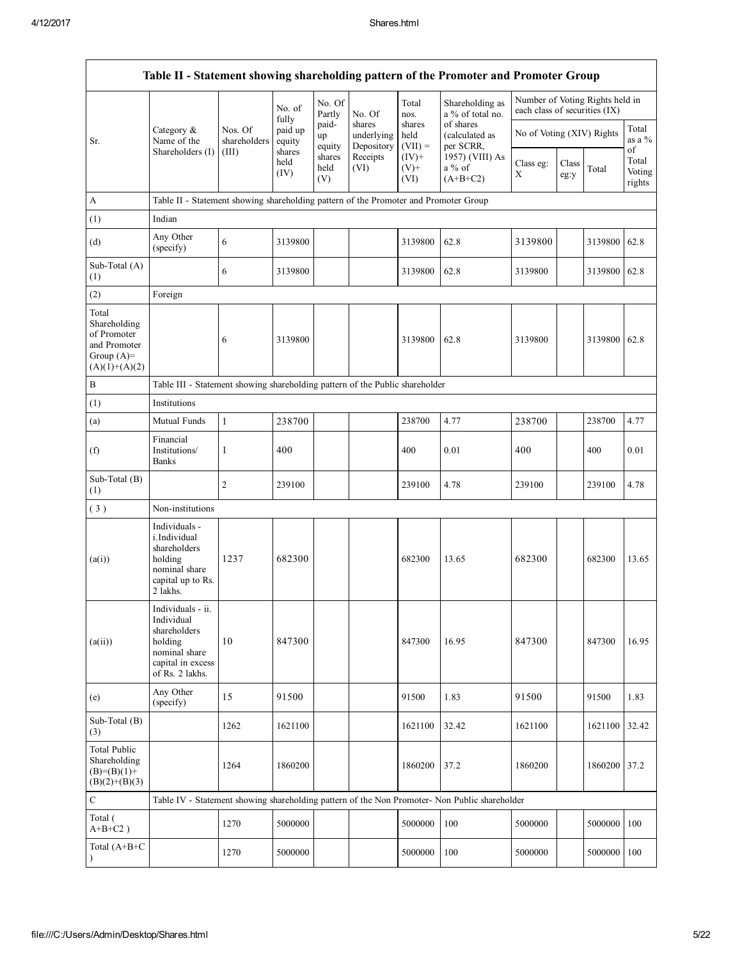|                                                                                         |                                                                                                                     |                         |                        |                       |                                    |                                                                                                      | Table II - Statement showing shareholding pattern of the Promoter and Promoter Group          |                                                                  |               |                       |                           |
|-----------------------------------------------------------------------------------------|---------------------------------------------------------------------------------------------------------------------|-------------------------|------------------------|-----------------------|------------------------------------|------------------------------------------------------------------------------------------------------|-----------------------------------------------------------------------------------------------|------------------------------------------------------------------|---------------|-----------------------|---------------------------|
|                                                                                         |                                                                                                                     |                         | No. of<br>fully        | No. Of<br>Partly      | No. Of                             | Total<br>nos.                                                                                        | Shareholding as<br>a % of total no.                                                           | Number of Voting Rights held in<br>each class of securities (IX) |               |                       |                           |
| Sr.                                                                                     | Category $\&$<br>Name of the                                                                                        | Nos. Of<br>shareholders | paid up<br>equity      | paid-<br>up<br>equity | shares<br>underlying<br>Depository | of shares<br>shares<br>No of Voting (XIV) Rights<br>(calculated as<br>held<br>$(VII) =$<br>per SCRR, |                                                                                               |                                                                  |               | Total<br>as a %<br>οf |                           |
|                                                                                         | Shareholders (I)                                                                                                    | (III)                   | shares<br>held<br>(IV) | shares<br>held<br>(V) | Receipts<br>(VI)                   | $(IV)$ +<br>$(V)$ +<br>(VI)                                                                          | 1957) (VIII) As<br>a % of<br>$(A+B+C2)$                                                       | Class eg:<br>X                                                   | Class<br>eg:y | Total                 | Total<br>Voting<br>rights |
| A                                                                                       | Table II - Statement showing shareholding pattern of the Promoter and Promoter Group                                |                         |                        |                       |                                    |                                                                                                      |                                                                                               |                                                                  |               |                       |                           |
| (1)                                                                                     | Indian                                                                                                              |                         |                        |                       |                                    |                                                                                                      |                                                                                               |                                                                  |               |                       |                           |
| (d)                                                                                     | Any Other<br>(specify)                                                                                              | 6                       | 3139800                |                       |                                    | 3139800                                                                                              | 62.8                                                                                          | 3139800                                                          |               | 3139800               | 62.8                      |
| Sub-Total (A)<br>(1)                                                                    |                                                                                                                     | 6                       | 3139800                |                       |                                    | 3139800                                                                                              | 62.8                                                                                          | 3139800                                                          |               | 3139800               | 62.8                      |
| (2)                                                                                     | Foreign                                                                                                             |                         |                        |                       |                                    |                                                                                                      |                                                                                               |                                                                  |               |                       |                           |
| Total<br>Shareholding<br>of Promoter<br>and Promoter<br>Group $(A)=$<br>$(A)(1)+(A)(2)$ |                                                                                                                     | 6                       | 3139800                |                       |                                    | 3139800                                                                                              | 62.8                                                                                          | 3139800                                                          |               | 3139800               | 62.8                      |
| В                                                                                       | Table III - Statement showing shareholding pattern of the Public shareholder                                        |                         |                        |                       |                                    |                                                                                                      |                                                                                               |                                                                  |               |                       |                           |
| (1)                                                                                     | Institutions                                                                                                        |                         |                        |                       |                                    |                                                                                                      |                                                                                               |                                                                  |               |                       |                           |
| (a)                                                                                     | Mutual Funds                                                                                                        | $\mathbf{1}$            | 238700                 |                       |                                    | 238700                                                                                               | 4.77                                                                                          | 238700                                                           |               | 238700                | 4.77                      |
| (f)                                                                                     | Financial<br>Institutions/<br><b>Banks</b>                                                                          | 1                       | 400                    |                       |                                    | 400                                                                                                  | 0.01                                                                                          | 400                                                              |               | 400                   | 0.01                      |
| Sub-Total (B)<br>(1)                                                                    |                                                                                                                     | $\overline{c}$          | 239100                 |                       |                                    | 239100                                                                                               | 4.78                                                                                          | 239100                                                           |               | 239100                | 4.78                      |
| (3)                                                                                     | Non-institutions                                                                                                    |                         |                        |                       |                                    |                                                                                                      |                                                                                               |                                                                  |               |                       |                           |
| (a(i))                                                                                  | Individuals -<br>i.Individual<br>shareholders<br>holding<br>nominal share<br>capital up to Rs.<br>2 lakhs.          | 1237                    | 682300                 |                       |                                    | 682300                                                                                               | 13.65                                                                                         | 682300                                                           |               | 682300                | 13.65                     |
| (a(ii))                                                                                 | Individuals - ii.<br>Individual<br>shareholders<br>holding<br>nominal share<br>capital in excess<br>of Rs. 2 lakhs. | 10                      | 847300                 |                       |                                    | 847300                                                                                               | 16.95                                                                                         | 847300                                                           |               | 847300                | 16.95                     |
| (e)                                                                                     | Any Other<br>(specify)                                                                                              | 15                      | 91500                  |                       |                                    | 91500                                                                                                | 1.83                                                                                          | 91500                                                            |               | 91500                 | 1.83                      |
| Sub-Total (B)<br>(3)                                                                    |                                                                                                                     | 1262                    | 1621100                |                       |                                    | 1621100                                                                                              | 32.42                                                                                         | 1621100                                                          |               | 1621100               | 32.42                     |
| <b>Total Public</b><br>Shareholding<br>$(B)=(B)(1)+$<br>$(B)(2)+(B)(3)$                 |                                                                                                                     | 1264                    | 1860200                |                       |                                    | 1860200                                                                                              | 37.2                                                                                          | 1860200                                                          |               | 1860200               | 37.2                      |
| ${\bf C}$                                                                               |                                                                                                                     |                         |                        |                       |                                    |                                                                                                      | Table IV - Statement showing shareholding pattern of the Non Promoter- Non Public shareholder |                                                                  |               |                       |                           |
| Total (<br>$A+B+C2$ )                                                                   |                                                                                                                     | 1270                    | 5000000                |                       |                                    | 5000000                                                                                              | 100                                                                                           | 5000000                                                          |               | 5000000               | 100                       |
| Total (A+B+C                                                                            |                                                                                                                     | 1270                    | 5000000                |                       |                                    | 5000000                                                                                              | 100                                                                                           | 5000000                                                          |               | 5000000               | 100                       |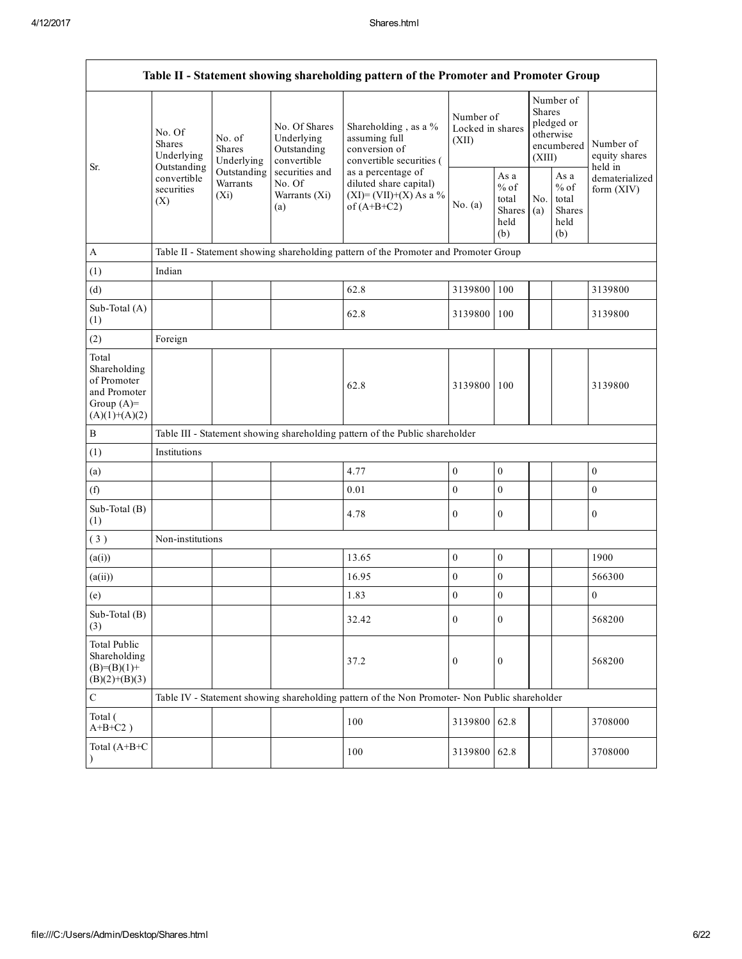|                                                                                         | Table II - Statement showing shareholding pattern of the Promoter and Promoter Group |                                    |                                                           |                                                                                               |                                        |                                                  |                         |                                                    |                                       |
|-----------------------------------------------------------------------------------------|--------------------------------------------------------------------------------------|------------------------------------|-----------------------------------------------------------|-----------------------------------------------------------------------------------------------|----------------------------------------|--------------------------------------------------|-------------------------|----------------------------------------------------|---------------------------------------|
| Sr.                                                                                     | No. Of<br><b>Shares</b><br>Underlying<br>Outstanding                                 | No. of<br>Shares<br>Underlying     | No. Of Shares<br>Underlying<br>Outstanding<br>convertible | Shareholding, as a %<br>assuming full<br>conversion of<br>convertible securities (            | Number of<br>Locked in shares<br>(XII) |                                                  | <b>Shares</b><br>(XIII) | Number of<br>pledged or<br>otherwise<br>encumbered | Number of<br>equity shares<br>held in |
|                                                                                         | convertible<br>securities<br>(X)                                                     | Outstanding<br>Warrants<br>$(X_i)$ | securities and<br>No. Of<br>Warrants (Xi)<br>(a)          | as a percentage of<br>diluted share capital)<br>$(XI)=(VII)+(X) As a %$<br>of $(A+B+C2)$      | No. $(a)$                              | As a<br>$%$ of<br>total<br>Shares<br>held<br>(b) | No.<br>(a)              | As a<br>$%$ of<br>total<br>Shares<br>held<br>(b)   | dematerialized<br>form (XIV)          |
| $\mathbf{A}$                                                                            |                                                                                      |                                    |                                                           | Table II - Statement showing shareholding pattern of the Promoter and Promoter Group          |                                        |                                                  |                         |                                                    |                                       |
| (1)                                                                                     | Indian                                                                               |                                    |                                                           |                                                                                               |                                        |                                                  |                         |                                                    |                                       |
| (d)                                                                                     |                                                                                      |                                    |                                                           | 62.8                                                                                          | 3139800                                | 100                                              |                         |                                                    | 3139800                               |
| Sub-Total (A)<br>(1)                                                                    |                                                                                      |                                    |                                                           | 62.8                                                                                          | 3139800                                | 100                                              |                         |                                                    | 3139800                               |
| (2)                                                                                     | Foreign                                                                              |                                    |                                                           |                                                                                               |                                        |                                                  |                         |                                                    |                                       |
| Total<br>Shareholding<br>of Promoter<br>and Promoter<br>Group $(A)=$<br>$(A)(1)+(A)(2)$ |                                                                                      |                                    |                                                           | 62.8                                                                                          | 3139800                                | 100                                              |                         |                                                    | 3139800                               |
| $\, {\bf B}$                                                                            |                                                                                      |                                    |                                                           | Table III - Statement showing shareholding pattern of the Public shareholder                  |                                        |                                                  |                         |                                                    |                                       |
| (1)                                                                                     | Institutions                                                                         |                                    |                                                           |                                                                                               |                                        |                                                  |                         |                                                    |                                       |
| (a)                                                                                     |                                                                                      |                                    |                                                           | 4.77                                                                                          | $\boldsymbol{0}$                       | $\boldsymbol{0}$                                 |                         |                                                    | $\boldsymbol{0}$                      |
| (f)                                                                                     |                                                                                      |                                    |                                                           | 0.01                                                                                          | $\boldsymbol{0}$                       | $\boldsymbol{0}$                                 |                         |                                                    | $\boldsymbol{0}$                      |
| Sub-Total (B)<br>(1)                                                                    |                                                                                      |                                    |                                                           | 4.78                                                                                          | $\boldsymbol{0}$                       | $\boldsymbol{0}$                                 |                         |                                                    | $\boldsymbol{0}$                      |
| (3)                                                                                     | Non-institutions                                                                     |                                    |                                                           |                                                                                               |                                        |                                                  |                         |                                                    |                                       |
| (a(i))                                                                                  |                                                                                      |                                    |                                                           | 13.65                                                                                         | $\boldsymbol{0}$                       | $\boldsymbol{0}$                                 |                         |                                                    | 1900                                  |
| (a(ii))                                                                                 |                                                                                      |                                    |                                                           | 16.95                                                                                         | $\boldsymbol{0}$                       | $\boldsymbol{0}$                                 |                         |                                                    | 566300                                |
| (e)                                                                                     |                                                                                      |                                    |                                                           | 1.83                                                                                          | $\boldsymbol{0}$                       | $\boldsymbol{0}$                                 |                         |                                                    | $\mathbf{0}$                          |
| Sub-Total (B)<br>(3)                                                                    |                                                                                      |                                    |                                                           | 32.42                                                                                         | $\boldsymbol{0}$                       | $\boldsymbol{0}$                                 |                         |                                                    | 568200                                |
| <b>Total Public</b><br>Shareholding<br>$(B)= (B)(1) +$<br>$(B)(2)+(B)(3)$               |                                                                                      |                                    |                                                           | 37.2                                                                                          | $\boldsymbol{0}$                       | $\bf{0}$                                         |                         |                                                    | 568200                                |
| $\mathsf C$                                                                             |                                                                                      |                                    |                                                           | Table IV - Statement showing shareholding pattern of the Non Promoter- Non Public shareholder |                                        |                                                  |                         |                                                    |                                       |
| Total (<br>$A+B+C2$ )                                                                   |                                                                                      |                                    |                                                           | 100                                                                                           | 3139800                                | 62.8                                             |                         |                                                    | 3708000                               |
| Total (A+B+C<br>$\lambda$                                                               |                                                                                      |                                    |                                                           | 100                                                                                           | 3139800                                | 62.8                                             |                         |                                                    | 3708000                               |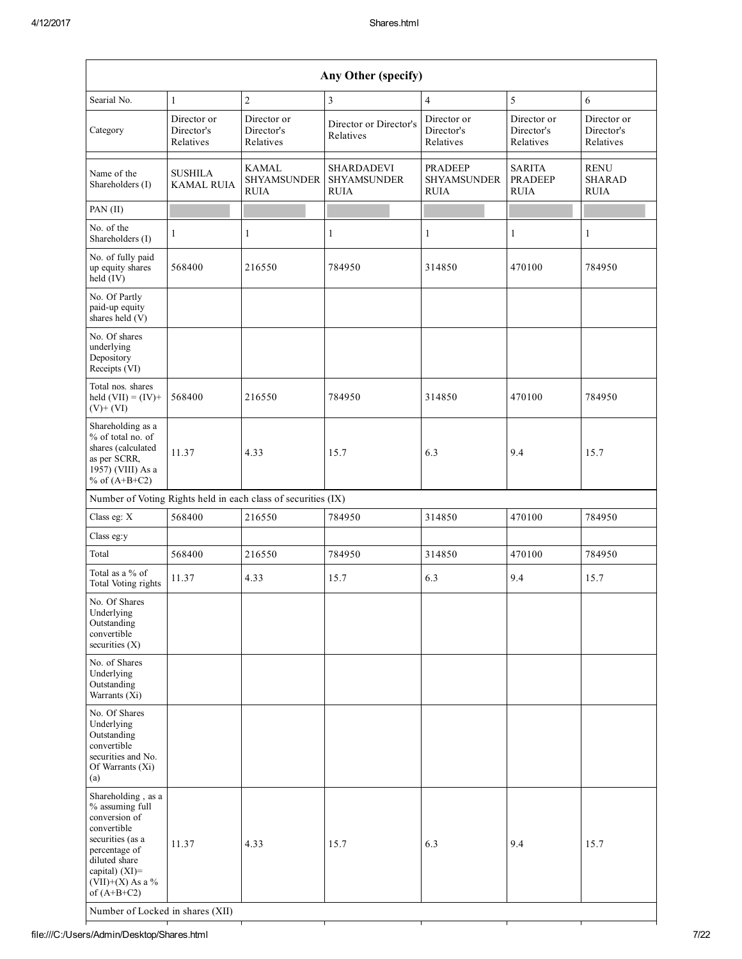|                                                                                                                                                                                                                          | Any Other (specify)                    |                                                               |                                                        |                                                     |                                                |                                             |  |  |
|--------------------------------------------------------------------------------------------------------------------------------------------------------------------------------------------------------------------------|----------------------------------------|---------------------------------------------------------------|--------------------------------------------------------|-----------------------------------------------------|------------------------------------------------|---------------------------------------------|--|--|
| Searial No.                                                                                                                                                                                                              | $\mathbf{1}$                           | $\overline{c}$                                                | 3                                                      | $\overline{4}$                                      | 5                                              | $\sqrt{6}$                                  |  |  |
| Category                                                                                                                                                                                                                 | Director or<br>Director's<br>Relatives | Director or<br>Director's<br>Relatives                        | Director or Director's<br>Relatives                    | Director or<br>Director's<br>Relatives              | Director or<br>Director's<br>Relatives         | Director or<br>Director's<br>Relatives      |  |  |
| Name of the<br>Shareholders (I)                                                                                                                                                                                          | <b>SUSHILA</b><br><b>KAMAL RUIA</b>    | <b>KAMAL</b><br><b>SHYAMSUNDER</b><br><b>RUIA</b>             | <b>SHARDADEVI</b><br><b>SHYAMSUNDER</b><br><b>RUIA</b> | <b>PRADEEP</b><br><b>SHYAMSUNDER</b><br><b>RUIA</b> | <b>SARITA</b><br><b>PRADEEP</b><br><b>RUIA</b> | <b>RENU</b><br><b>SHARAD</b><br><b>RUIA</b> |  |  |
| PAN (II)                                                                                                                                                                                                                 |                                        |                                                               |                                                        |                                                     |                                                |                                             |  |  |
| No. of the<br>Shareholders (I)                                                                                                                                                                                           | 1                                      | $\mathbf{1}$                                                  | 1                                                      | 1                                                   | $\mathbf{1}$                                   | 1                                           |  |  |
| No. of fully paid<br>up equity shares<br>held (IV)                                                                                                                                                                       | 568400                                 | 216550                                                        | 784950                                                 | 314850                                              | 470100                                         | 784950                                      |  |  |
| No. Of Partly<br>paid-up equity<br>shares held (V)                                                                                                                                                                       |                                        |                                                               |                                                        |                                                     |                                                |                                             |  |  |
| No. Of shares<br>underlying<br>Depository<br>Receipts (VI)                                                                                                                                                               |                                        |                                                               |                                                        |                                                     |                                                |                                             |  |  |
| Total nos. shares<br>held $(VII) = (IV) +$<br>$(V)+(VI)$                                                                                                                                                                 | 568400                                 | 216550                                                        | 784950                                                 | 314850                                              | 470100                                         | 784950                                      |  |  |
| Shareholding as a<br>% of total no. of<br>shares (calculated<br>as per SCRR,<br>1957) (VIII) As a<br>% of $(A+B+C2)$                                                                                                     | 11.37                                  | 4.33                                                          | 15.7                                                   | 6.3                                                 | 9.4                                            | 15.7                                        |  |  |
|                                                                                                                                                                                                                          |                                        | Number of Voting Rights held in each class of securities (IX) |                                                        |                                                     |                                                |                                             |  |  |
| Class eg: X                                                                                                                                                                                                              | 568400                                 | 216550                                                        | 784950                                                 | 314850                                              | 470100                                         | 784950                                      |  |  |
| Class eg:y                                                                                                                                                                                                               |                                        |                                                               |                                                        |                                                     |                                                |                                             |  |  |
| Total                                                                                                                                                                                                                    | 568400                                 | 216550                                                        | 784950                                                 | 314850                                              | 470100                                         | 784950                                      |  |  |
| Total as a % of<br>Total Voting rights                                                                                                                                                                                   | 11.37                                  | 4.33                                                          | 15.7                                                   | 6.3                                                 | 9.4                                            | 15.7                                        |  |  |
| No. Of Shares<br>Underlying<br>Outstanding<br>convertible<br>securities $(X)$                                                                                                                                            |                                        |                                                               |                                                        |                                                     |                                                |                                             |  |  |
| No. of Shares<br>Underlying<br>Outstanding<br>Warrants (Xi)                                                                                                                                                              |                                        |                                                               |                                                        |                                                     |                                                |                                             |  |  |
| No. Of Shares<br>Underlying<br>Outstanding<br>convertible<br>securities and No.<br>Of Warrants (Xi)<br>(a)                                                                                                               |                                        |                                                               |                                                        |                                                     |                                                |                                             |  |  |
| Shareholding, as a<br>% assuming full<br>conversion of<br>convertible<br>securities (as a<br>percentage of<br>diluted share<br>capital) (XI)=<br>$(VII)+(X)$ As a %<br>of $(A+B+C2)$<br>Number of Locked in shares (XII) | 11.37                                  | 4.33                                                          | 15.7                                                   | 6.3                                                 | 9.4                                            | 15.7                                        |  |  |

 $\overline{\phantom{a}}$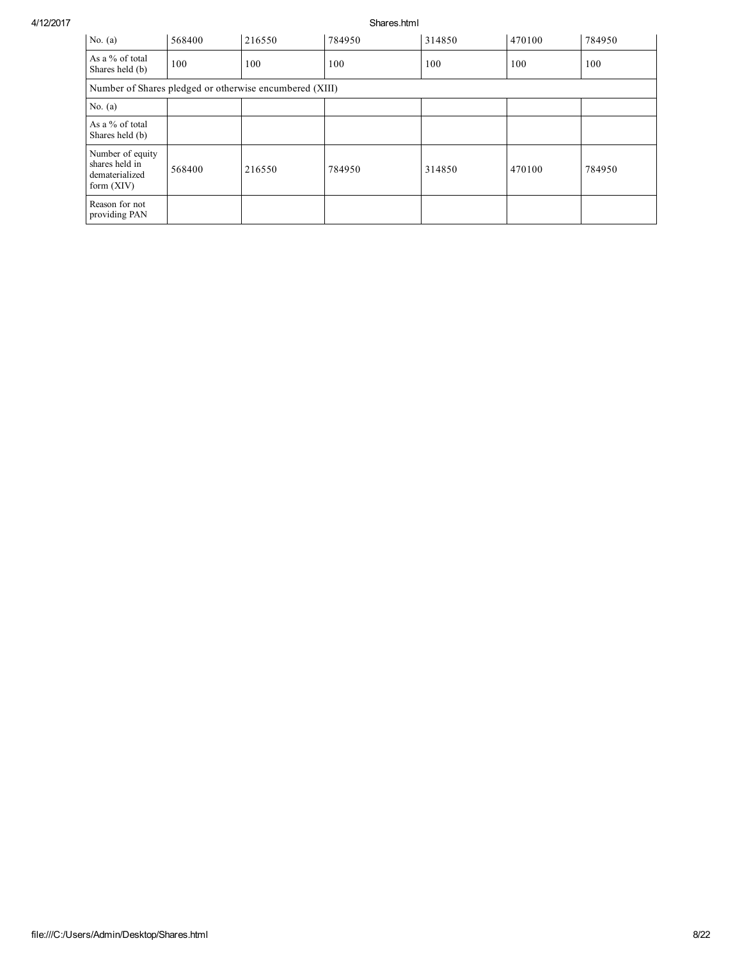## 4/12/2017 Shares.html

| No. $(a)$                                                            | 568400 | 216550                                                  | 784950 | 314850 | 470100 | 784950 |
|----------------------------------------------------------------------|--------|---------------------------------------------------------|--------|--------|--------|--------|
| As a % of total<br>Shares held (b)                                   | 100    | 100                                                     | 100    | 100    | 100    | 100    |
|                                                                      |        | Number of Shares pledged or otherwise encumbered (XIII) |        |        |        |        |
| No. $(a)$                                                            |        |                                                         |        |        |        |        |
| As a % of total<br>Shares held (b)                                   |        |                                                         |        |        |        |        |
| Number of equity<br>shares held in<br>dematerialized<br>form $(XIV)$ | 568400 | 216550                                                  | 784950 | 314850 | 470100 | 784950 |
| Reason for not<br>providing PAN                                      |        |                                                         |        |        |        |        |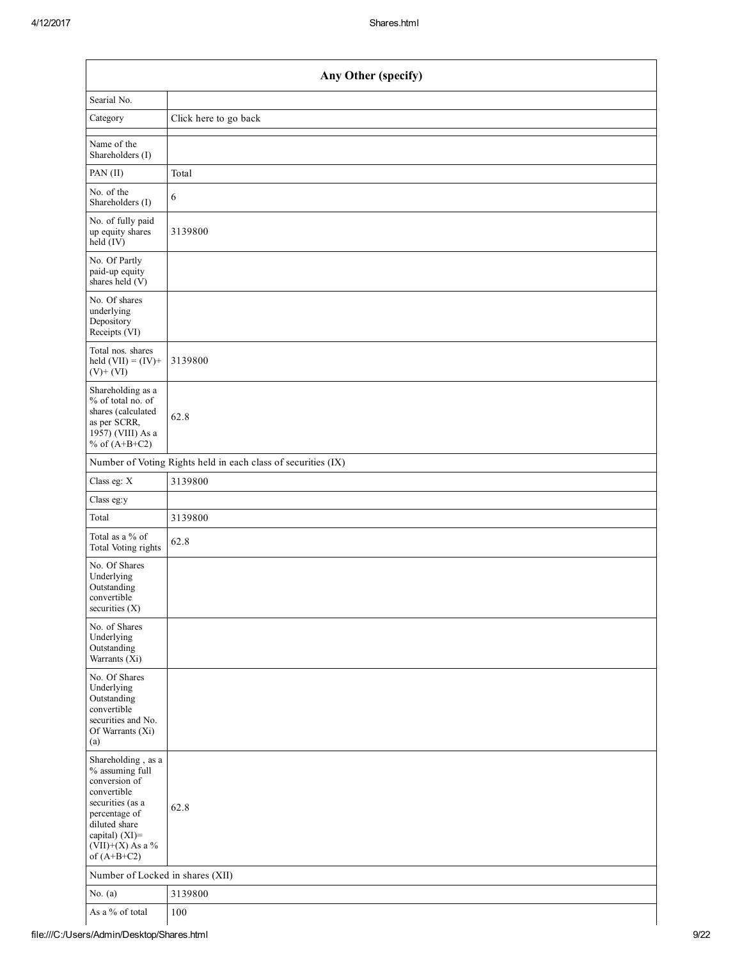|                                                                                                                                                                                      | Any Other (specify)                                           |
|--------------------------------------------------------------------------------------------------------------------------------------------------------------------------------------|---------------------------------------------------------------|
| Searial No.                                                                                                                                                                          |                                                               |
| Category                                                                                                                                                                             | Click here to go back                                         |
| Name of the<br>Shareholders (I)                                                                                                                                                      |                                                               |
| PAN (II)                                                                                                                                                                             | Total                                                         |
| No. of the<br>Shareholders (I)                                                                                                                                                       | 6                                                             |
| No. of fully paid<br>up equity shares<br>held (IV)                                                                                                                                   | 3139800                                                       |
| No. Of Partly<br>paid-up equity<br>shares held (V)                                                                                                                                   |                                                               |
| No. Of shares<br>underlying<br>Depository<br>Receipts (VI)                                                                                                                           |                                                               |
| Total nos. shares<br>held $(VII) = (IV) +$<br>$(V) + (VI)$                                                                                                                           | 3139800                                                       |
| Shareholding as a<br>% of total no. of<br>shares (calculated<br>as per SCRR,<br>1957) (VIII) As a<br>% of $(A+B+C2)$                                                                 | 62.8                                                          |
|                                                                                                                                                                                      | Number of Voting Rights held in each class of securities (IX) |
| Class eg: X                                                                                                                                                                          | 3139800                                                       |
| Class eg:y                                                                                                                                                                           |                                                               |
| Total                                                                                                                                                                                | 3139800                                                       |
| Total as a % of<br>Total Voting rights                                                                                                                                               | 62.8                                                          |
| No. Of Shares<br>Underlying<br>Outstanding<br>convertible<br>securities $(X)$                                                                                                        |                                                               |
| No. of Shares<br>Underlying<br>Outstanding<br>Warrants (Xi)                                                                                                                          |                                                               |
| No. Of Shares<br>Underlying<br>Outstanding<br>convertible<br>securities and No.<br>Of Warrants (Xi)<br>(a)                                                                           |                                                               |
| Shareholding, as a<br>% assuming full<br>conversion of<br>convertible<br>securities (as a<br>percentage of<br>diluted share<br>capital) (XI)=<br>$(VII)+(X)$ As a %<br>of $(A+B+C2)$ | 62.8                                                          |
| Number of Locked in shares (XII)                                                                                                                                                     |                                                               |
| No. $(a)$                                                                                                                                                                            | 3139800                                                       |
| As a % of total                                                                                                                                                                      | 100                                                           |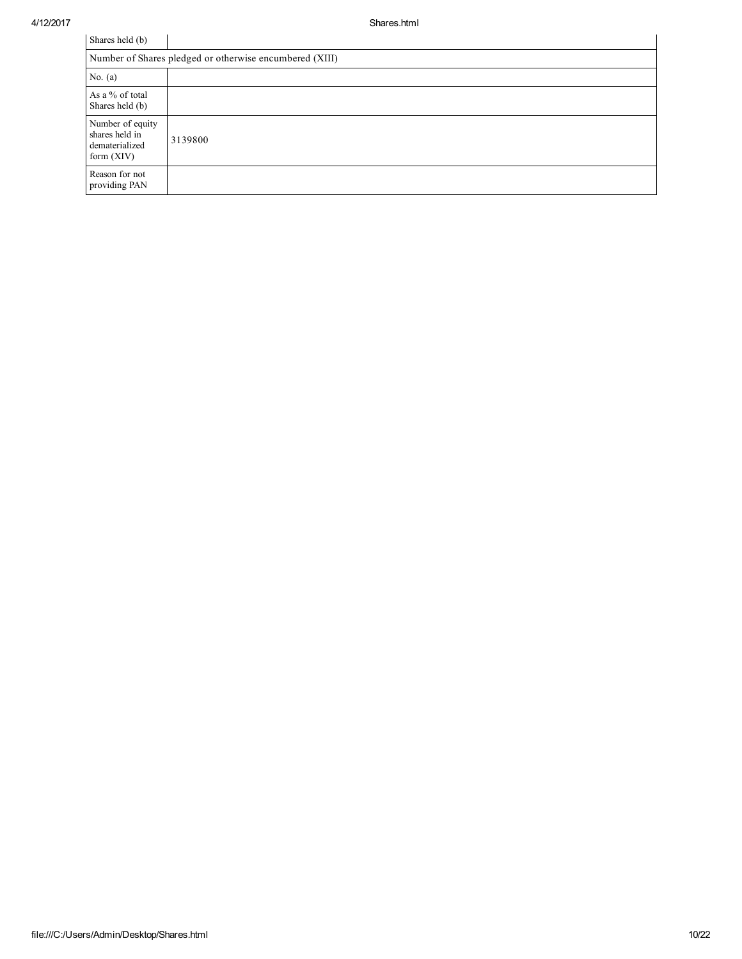|                                                                      | יוושווסט ושווט                                          |
|----------------------------------------------------------------------|---------------------------------------------------------|
| Shares held (b)                                                      |                                                         |
|                                                                      | Number of Shares pledged or otherwise encumbered (XIII) |
| No. $(a)$                                                            |                                                         |
| As a % of total<br>Shares held (b)                                   |                                                         |
| Number of equity<br>shares held in<br>dematerialized<br>form $(XIV)$ | 3139800                                                 |
| Reason for not<br>providing PAN                                      |                                                         |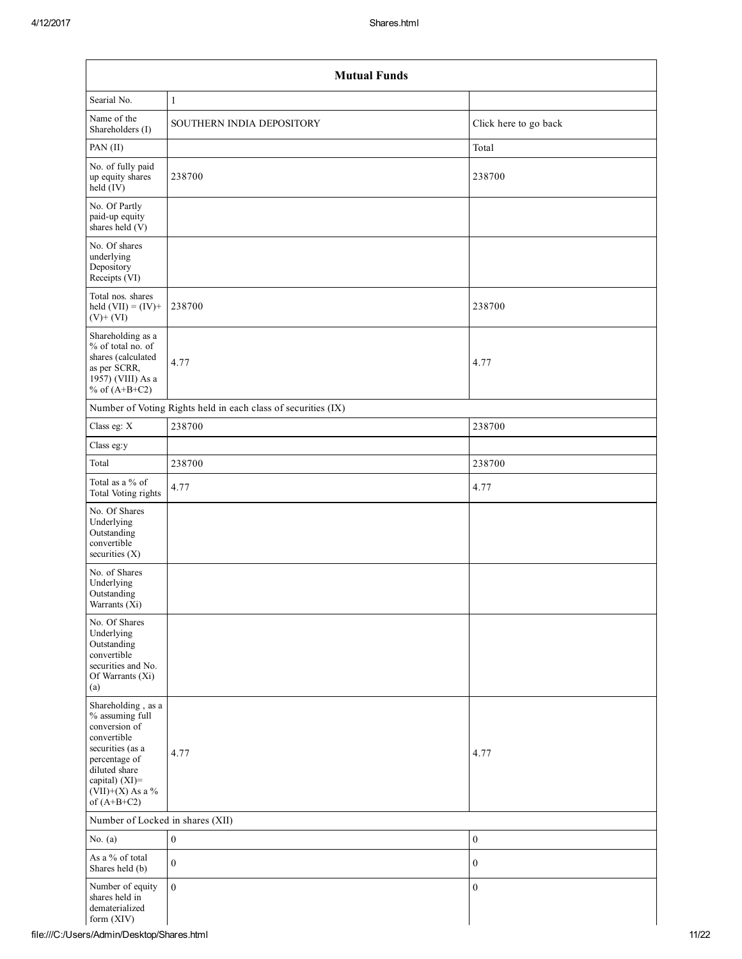| Searial No.                                                                                                                                                                          | $\mathbf{1}$                                                  |                       |
|--------------------------------------------------------------------------------------------------------------------------------------------------------------------------------------|---------------------------------------------------------------|-----------------------|
| Name of the<br>Shareholders (I)                                                                                                                                                      | SOUTHERN INDIA DEPOSITORY                                     | Click here to go back |
| PAN (II)                                                                                                                                                                             |                                                               | Total                 |
| No. of fully paid<br>up equity shares<br>$\text{held} (IV)$                                                                                                                          | 238700                                                        | 238700                |
| No. Of Partly<br>paid-up equity<br>shares held (V)                                                                                                                                   |                                                               |                       |
| No. Of shares<br>underlying<br>Depository<br>Receipts (VI)                                                                                                                           |                                                               |                       |
| Total nos. shares<br>held $(VII) = (IV) +$<br>$(V) + (VI)$                                                                                                                           | 238700                                                        | 238700                |
| Shareholding as a<br>% of total no. of<br>shares (calculated<br>as per SCRR,<br>1957) (VIII) As a<br>% of $(A+B+C2)$                                                                 | 4.77                                                          | 4.77                  |
|                                                                                                                                                                                      | Number of Voting Rights held in each class of securities (IX) |                       |
| Class eg: X                                                                                                                                                                          | 238700                                                        | 238700                |
| Class eg:y                                                                                                                                                                           |                                                               |                       |
| Total                                                                                                                                                                                | 238700                                                        | 238700                |
| Total as a % of<br>Total Voting rights                                                                                                                                               | 4.77                                                          | 4.77                  |
| No. Of Shares<br>Underlying<br>Outstanding<br>convertible<br>securities (X)                                                                                                          |                                                               |                       |
| No. of Shares<br>Underlying<br>Outstanding<br>Warrants (Xi)                                                                                                                          |                                                               |                       |
| No. Of Shares<br>Underlying<br>Outstanding<br>convertible<br>securities and No.<br>Of Warrants (Xi)<br>(a)                                                                           |                                                               |                       |
| Shareholding, as a<br>% assuming full<br>conversion of<br>convertible<br>securities (as a<br>percentage of<br>diluted share<br>capital) (XI)=<br>$(VII)+(X)$ As a %<br>of $(A+B+C2)$ | 4.77                                                          | 4.77                  |
| Number of Locked in shares (XII)                                                                                                                                                     |                                                               |                       |
| No. $(a)$                                                                                                                                                                            | $\boldsymbol{0}$                                              | $\bf{0}$              |
| As a $\%$ of total<br>Shares held (b)                                                                                                                                                | $\boldsymbol{0}$                                              | $\boldsymbol{0}$      |
| Number of equity<br>shares held in<br>dematerialized                                                                                                                                 | $\boldsymbol{0}$                                              | $\mathbf{0}$          |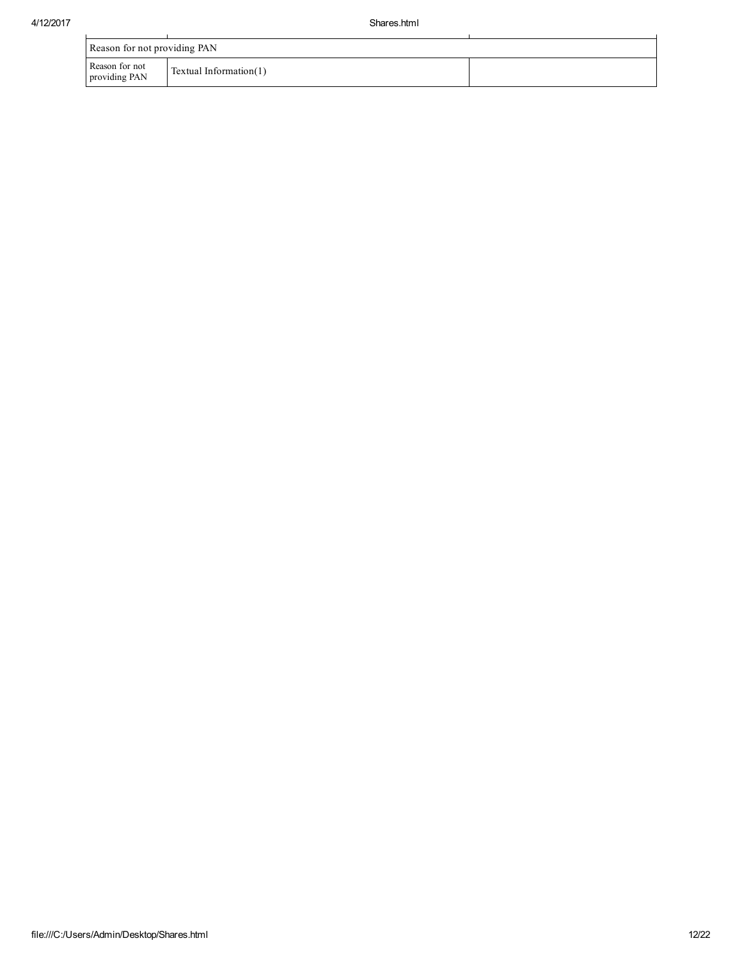| Reason for not providing PAN    |                           |  |  |
|---------------------------------|---------------------------|--|--|
| Reason for not<br>providing PAN | Textual Information $(1)$ |  |  |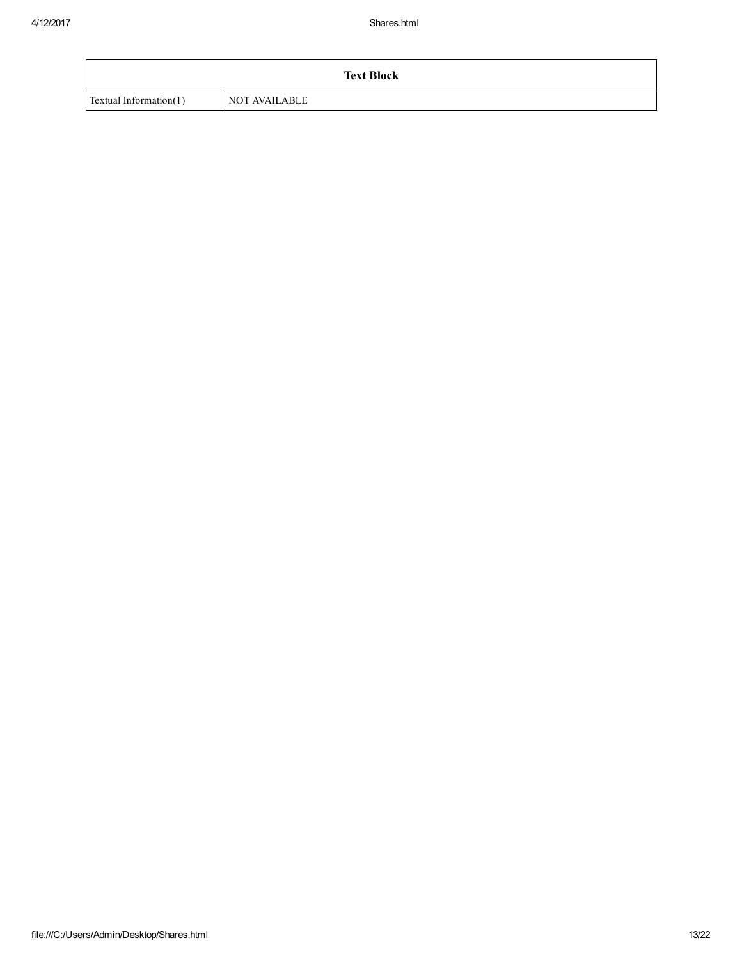|                        | <b>Text Block</b> |
|------------------------|-------------------|
| Textual Information(1) | NOT AVAILABLE     |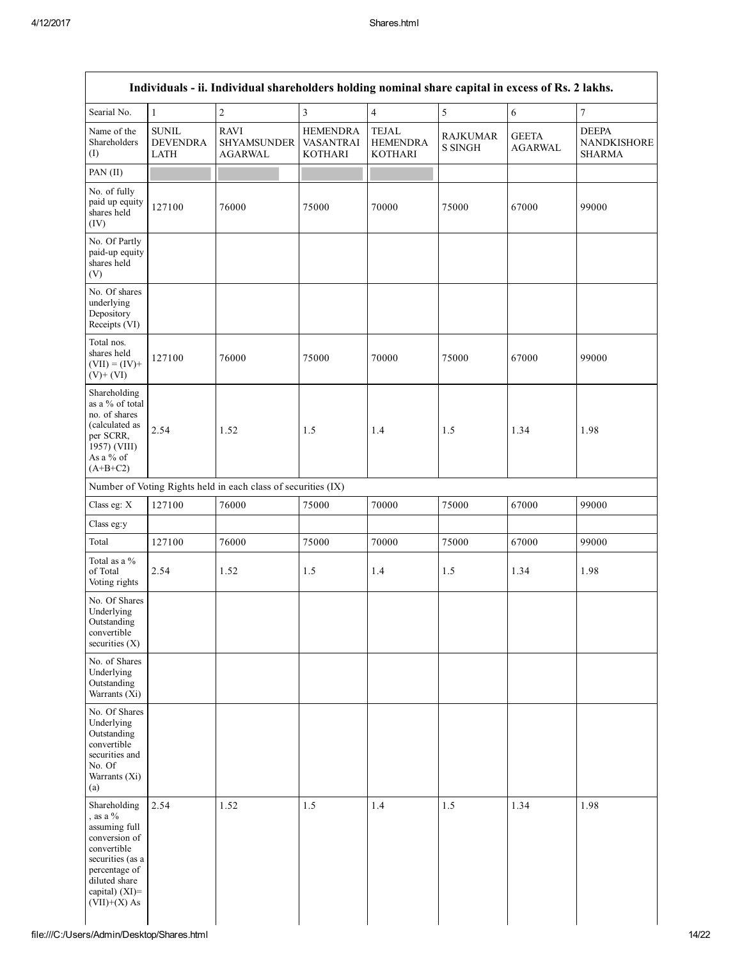| Searial No.                                                                                                                                                           | $\mathbf{1}$                             | $\sqrt{2}$                                                    | $\mathfrak{Z}$                                 | $\overline{4}$                             | 5                                 | $\sqrt{6}$                     | $\boldsymbol{7}$                             |
|-----------------------------------------------------------------------------------------------------------------------------------------------------------------------|------------------------------------------|---------------------------------------------------------------|------------------------------------------------|--------------------------------------------|-----------------------------------|--------------------------------|----------------------------------------------|
| Name of the<br>Shareholders<br>(I)                                                                                                                                    | $\quad$ SUNIL<br><b>DEVENDRA</b><br>LATH | <b>RAVI</b><br><b>SHYAMSUNDER</b><br><b>AGARWAL</b>           | <b>HEMENDRA</b><br>VASANTRAI<br><b>KOTHARI</b> | TEJAL<br><b>HEMENDRA</b><br><b>KOTHARI</b> | <b>RAJKUMAR</b><br><b>S SINGH</b> | <b>GEETA</b><br><b>AGARWAL</b> | <b>DEEPA</b><br>NANDKISHORE<br><b>SHARMA</b> |
| PAN (II)                                                                                                                                                              |                                          |                                                               |                                                |                                            |                                   |                                |                                              |
| No. of fully<br>paid up equity<br>shares held<br>(IV)                                                                                                                 | 127100                                   | 76000                                                         | 75000                                          | 70000                                      | 75000                             | 67000                          | 99000                                        |
| No. Of Partly<br>paid-up equity<br>shares held<br>(V)                                                                                                                 |                                          |                                                               |                                                |                                            |                                   |                                |                                              |
| No. Of shares<br>underlying<br>Depository<br>Receipts (VI)                                                                                                            |                                          |                                                               |                                                |                                            |                                   |                                |                                              |
| Total nos.<br>shares held<br>$(VII) = (IV) +$<br>$(V)+(VI)$                                                                                                           | 127100                                   | 76000                                                         | 75000                                          | 70000                                      | 75000                             | 67000                          | 99000                                        |
| Shareholding<br>as a % of total<br>no. of shares<br>(calculated as<br>per SCRR,<br>$1957)$ (VIII)<br>As a % of<br>$(A+B+C2)$                                          | 2.54                                     | 1.52                                                          | 1.5                                            | 1.4                                        | 1.5                               | 1.34                           | 1.98                                         |
|                                                                                                                                                                       |                                          | Number of Voting Rights held in each class of securities (IX) |                                                |                                            |                                   |                                |                                              |
| Class eg: X                                                                                                                                                           | 127100                                   | 76000                                                         | 75000                                          | 70000                                      | 75000                             | 67000                          | 99000                                        |
| Class eg:y                                                                                                                                                            |                                          |                                                               |                                                |                                            |                                   |                                |                                              |
| Total                                                                                                                                                                 | 127100                                   | 76000                                                         | 75000                                          | 70000                                      | 75000                             | 67000                          | 99000                                        |
| Total as a $\%$<br>of Total<br>Voting rights                                                                                                                          | 2.54                                     | 1.52                                                          | 1.5                                            | 1.4                                        | 1.5                               | 1.34                           | 1.98                                         |
| No. Of Shares<br>Underlying<br>Outstanding<br>convertible<br>securities $(X)$                                                                                         |                                          |                                                               |                                                |                                            |                                   |                                |                                              |
| No. of Shares<br>Underlying<br>Outstanding<br>Warrants (Xi)                                                                                                           |                                          |                                                               |                                                |                                            |                                   |                                |                                              |
| No. Of Shares<br>Underlying<br>Outstanding<br>convertible<br>securities and<br>No. Of<br>Warrants (Xi)<br>(a)                                                         |                                          |                                                               |                                                |                                            |                                   |                                |                                              |
| Shareholding<br>, as a $%$<br>assuming full<br>conversion of<br>convertible<br>securities (as a<br>percentage of<br>diluted share<br>capital) (XI)=<br>$(VII)+(X)$ As | 2.54                                     | 1.52                                                          | 1.5                                            | 1.4                                        | 1.5                               | 1.34                           | 1.98                                         |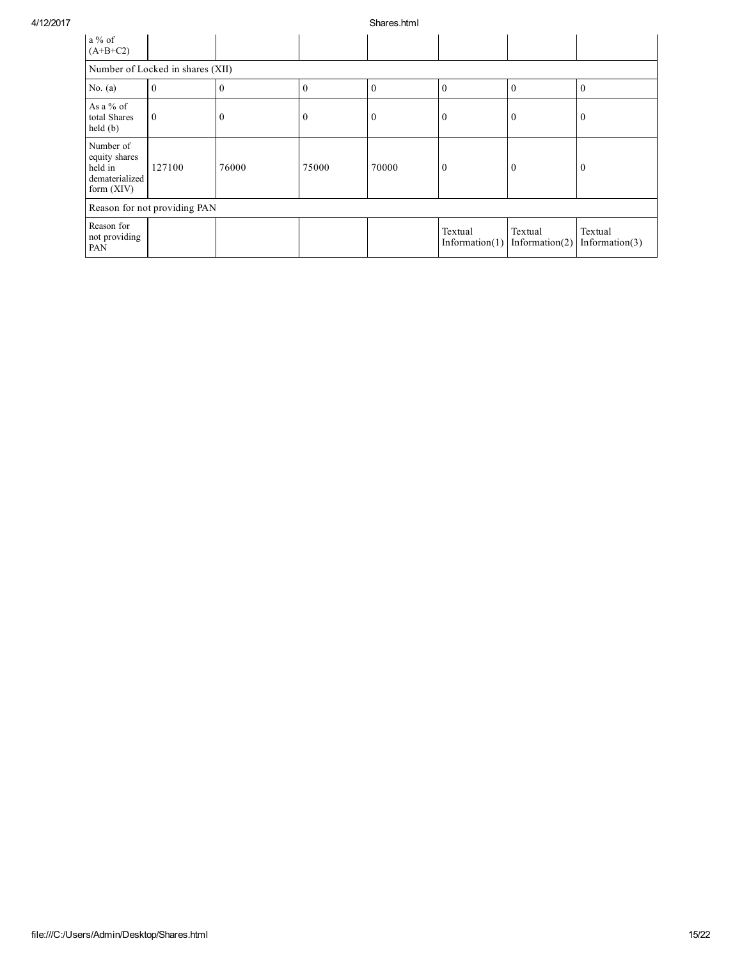| 4/12/2017 |                                                                         |                                  |                |              | Shares.html  |                              |                           |                              |
|-----------|-------------------------------------------------------------------------|----------------------------------|----------------|--------------|--------------|------------------------------|---------------------------|------------------------------|
|           | $a\%$ of<br>$(A+B+C2)$                                                  |                                  |                |              |              |                              |                           |                              |
|           |                                                                         | Number of Locked in shares (XII) |                |              |              |                              |                           |                              |
|           | No. $(a)$                                                               | $\mathbf{0}$                     | $\overline{0}$ | $\theta$     | $\mathbf{0}$ | $\theta$                     | $\theta$                  | $\mathbf{0}$                 |
|           | As a % of<br>total Shares<br>held $(b)$                                 | $\mathbf{0}$                     | $\overline{0}$ | $\mathbf{0}$ | $\mathbf{0}$ | $\mathbf{0}$                 | $\theta$                  | $\boldsymbol{0}$             |
|           | Number of<br>equity shares<br>held in<br>dematerialized<br>form $(XIV)$ | 127100                           | 76000          | 75000        | 70000        | $\mathbf{0}$                 | $\overline{0}$            | $\mathbf{0}$                 |
|           |                                                                         | Reason for not providing PAN     |                |              |              |                              |                           |                              |
|           | Reason for<br>not providing<br>PAN                                      |                                  |                |              |              | Textual<br>Information $(1)$ | Textual<br>Information(2) | Textual<br>Information $(3)$ |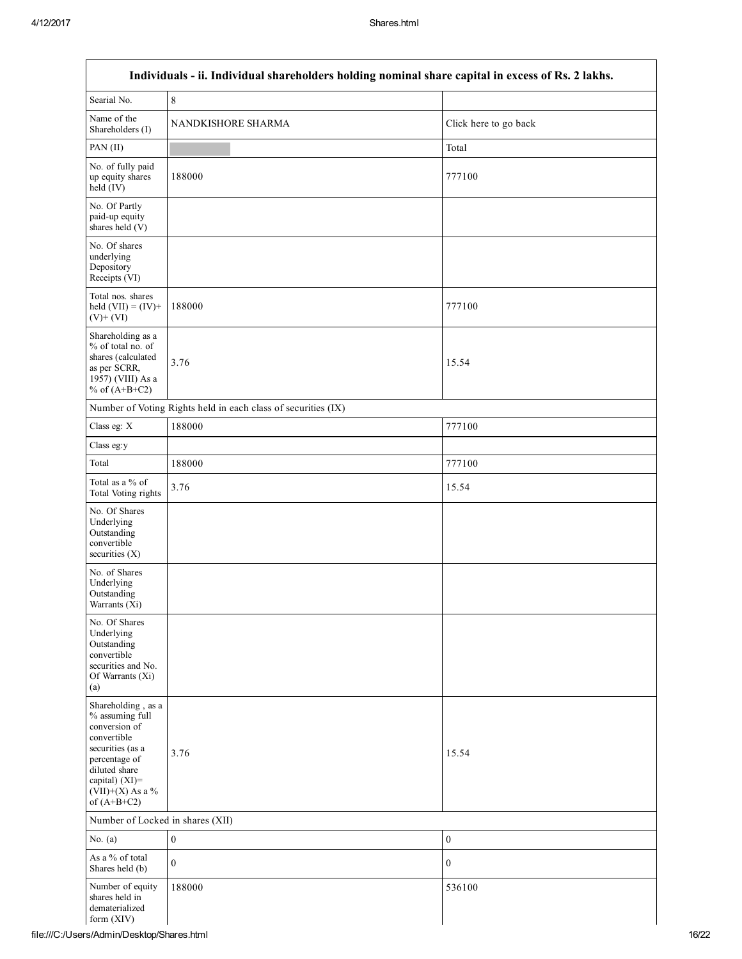Г

| Searial No.                                                                                                                                                                             | $\,8\,$                                                       |                       |  |
|-----------------------------------------------------------------------------------------------------------------------------------------------------------------------------------------|---------------------------------------------------------------|-----------------------|--|
| Name of the<br>Shareholders (I)                                                                                                                                                         | NANDKISHORE SHARMA                                            | Click here to go back |  |
| PAN (II)                                                                                                                                                                                |                                                               | Total                 |  |
| No. of fully paid<br>up equity shares<br>held (IV)                                                                                                                                      | 188000                                                        | 777100                |  |
| No. Of Partly<br>paid-up equity<br>shares held $(V)$                                                                                                                                    |                                                               |                       |  |
| No. Of shares<br>underlying<br>Depository<br>Receipts (VI)                                                                                                                              |                                                               |                       |  |
| Total nos. shares<br>held $(VII) = (IV) +$<br>$(V) + CVI)$                                                                                                                              | 188000                                                        | 777100                |  |
| Shareholding as a<br>% of total no. of<br>shares (calculated<br>as per SCRR,<br>1957) (VIII) As a<br>% of $(A+B+C2)$                                                                    | 3.76                                                          | 15.54                 |  |
|                                                                                                                                                                                         | Number of Voting Rights held in each class of securities (IX) |                       |  |
| Class eg: X                                                                                                                                                                             | 188000                                                        | 777100                |  |
| Class eg:y                                                                                                                                                                              |                                                               |                       |  |
| Total                                                                                                                                                                                   | 188000                                                        | 777100                |  |
| Total as a % of<br>Total Voting rights                                                                                                                                                  | 3.76                                                          | 15.54                 |  |
| No. Of Shares<br>Underlying<br>Outstanding<br>convertible<br>securities (X)                                                                                                             |                                                               |                       |  |
| No. of Shares<br>Underlying<br>Outstanding<br>Warrants $(X_i)$                                                                                                                          |                                                               |                       |  |
| No. Of Shares<br>Underlying<br>Outstanding<br>convertible<br>securities and No.<br>Of Warrants (Xi)<br>(a)                                                                              |                                                               |                       |  |
| Shareholding, as a<br>% assuming full<br>conversion of<br>convertible<br>securities (as a<br>percentage of<br>diluted share<br>capital) $(XI)$ =<br>$(VII)+(X)$ As a %<br>of $(A+B+C2)$ | 3.76                                                          | 15.54                 |  |
| Number of Locked in shares (XII)                                                                                                                                                        |                                                               |                       |  |
| No. $(a)$                                                                                                                                                                               | $\boldsymbol{0}$                                              | $\boldsymbol{0}$      |  |
| As a % of total<br>Shares held (b)                                                                                                                                                      | $\mathbf{0}$                                                  | $\boldsymbol{0}$      |  |
| Number of equity<br>shares held in<br>dematerialized<br>form (XIV)                                                                                                                      | 188000                                                        | 536100                |  |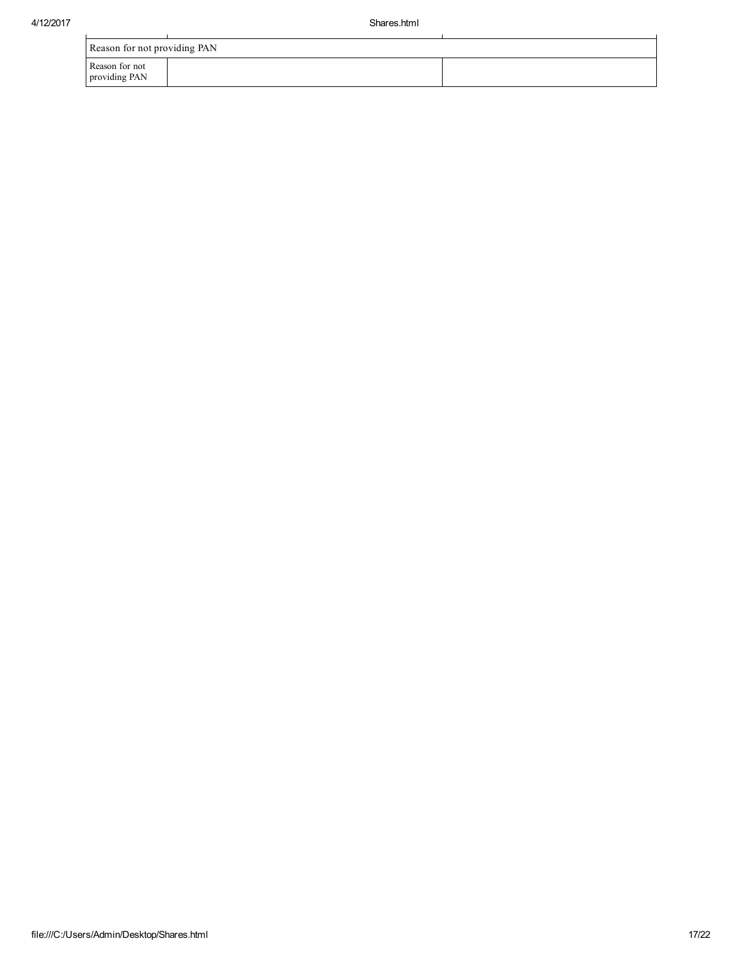| Reason for not providing PAN    |  |
|---------------------------------|--|
| Reason for not<br>providing PAN |  |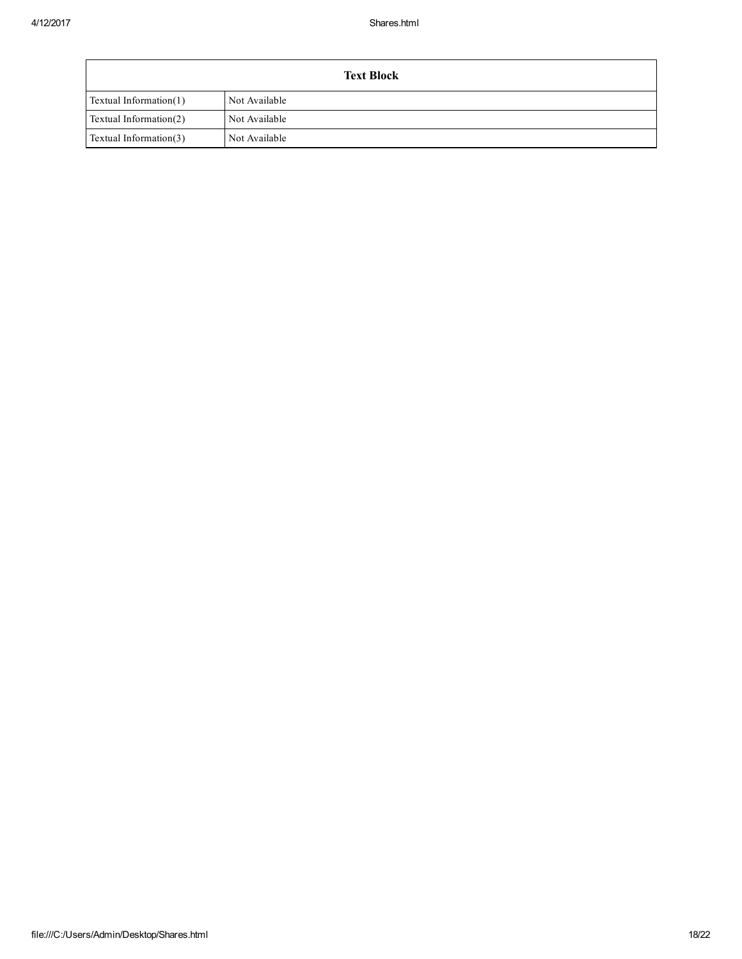|                           | <b>Text Block</b> |
|---------------------------|-------------------|
| Textual Information $(1)$ | Not Available     |
| Textual Information(2)    | Not Available     |
| Textual Information(3)    | Not Available     |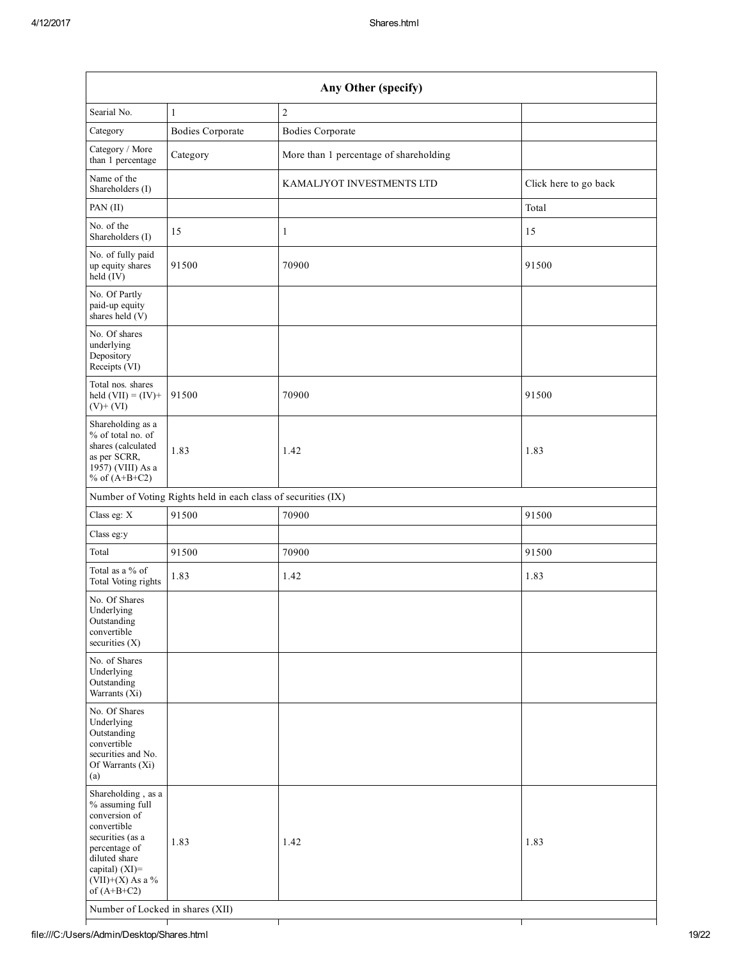| Any Other (specify)                                                                                                                                                                                                      |                                                               |                                        |                       |  |
|--------------------------------------------------------------------------------------------------------------------------------------------------------------------------------------------------------------------------|---------------------------------------------------------------|----------------------------------------|-----------------------|--|
| Searial No.                                                                                                                                                                                                              | 1                                                             | $\overline{c}$                         |                       |  |
| Category                                                                                                                                                                                                                 | <b>Bodies Corporate</b>                                       | <b>Bodies Corporate</b>                |                       |  |
| Category / More<br>than 1 percentage                                                                                                                                                                                     | Category                                                      | More than 1 percentage of shareholding |                       |  |
| Name of the<br>Shareholders (I)                                                                                                                                                                                          |                                                               | KAMALJYOT INVESTMENTS LTD              | Click here to go back |  |
| PAN (II)                                                                                                                                                                                                                 |                                                               |                                        | Total                 |  |
| No. of the<br>Shareholders (I)                                                                                                                                                                                           | 15                                                            | 1                                      | 15                    |  |
| No. of fully paid<br>up equity shares<br>$held$ (IV)                                                                                                                                                                     | 91500                                                         | 70900                                  | 91500                 |  |
| No. Of Partly<br>paid-up equity<br>shares held (V)                                                                                                                                                                       |                                                               |                                        |                       |  |
| No. Of shares<br>underlying<br>Depository<br>Receipts (VI)                                                                                                                                                               |                                                               |                                        |                       |  |
| Total nos. shares<br>held $(VII) = (IV) +$<br>$(V)+(VI)$                                                                                                                                                                 | 91500                                                         | 70900                                  | 91500                 |  |
| Shareholding as a<br>% of total no. of<br>shares (calculated<br>as per SCRR,<br>1957) (VIII) As a<br>% of $(A+B+C2)$                                                                                                     | 1.83                                                          | 1.42                                   | 1.83                  |  |
|                                                                                                                                                                                                                          | Number of Voting Rights held in each class of securities (IX) |                                        |                       |  |
| Class eg: X                                                                                                                                                                                                              | 91500                                                         | 70900                                  | 91500                 |  |
| Class eg:y                                                                                                                                                                                                               |                                                               |                                        |                       |  |
| Total                                                                                                                                                                                                                    | 91500                                                         | 70900                                  | 91500                 |  |
| Total as a % of<br><b>Total Voting rights</b>                                                                                                                                                                            | 1.83                                                          | 1.42                                   | 1.83                  |  |
| No. Of Shares<br>Underlying<br>Outstanding<br>convertible<br>securities (X)                                                                                                                                              |                                                               |                                        |                       |  |
| No. of Shares<br>Underlying<br>Outstanding<br>Warrants (Xi)                                                                                                                                                              |                                                               |                                        |                       |  |
| No. Of Shares<br>Underlying<br>Outstanding<br>convertible<br>securities and No.<br>Of Warrants (Xi)<br>(a)                                                                                                               |                                                               |                                        |                       |  |
| Shareholding, as a<br>% assuming full<br>conversion of<br>convertible<br>securities (as a<br>percentage of<br>diluted share<br>capital) (XI)=<br>$(VII)+(X)$ As a %<br>of $(A+B+C2)$<br>Number of Locked in shares (XII) | 1.83                                                          | 1.42                                   | 1.83                  |  |
|                                                                                                                                                                                                                          |                                                               |                                        |                       |  |

┬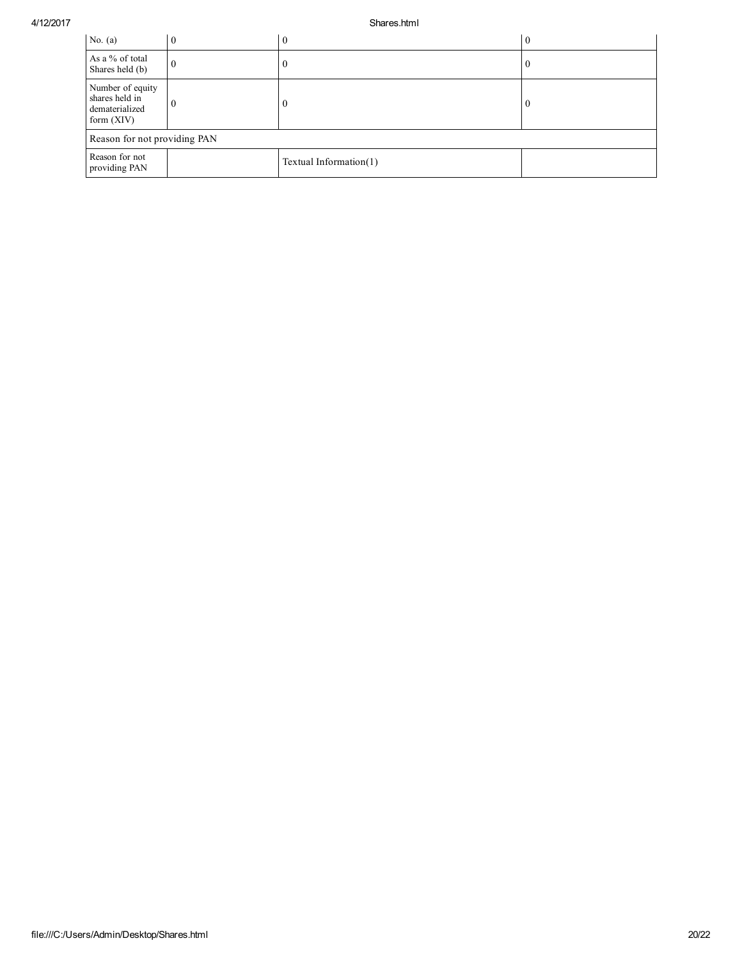## 4/12/2017 Shares.html

| No. $(a)$                                                            | $\theta$                     | $\overline{0}$         | $\bf{0}$ |  |
|----------------------------------------------------------------------|------------------------------|------------------------|----------|--|
| As a % of total<br>Shares held (b)                                   | $\overline{0}$               | $\boldsymbol{0}$       | v        |  |
| Number of equity<br>shares held in<br>dematerialized<br>form $(XIV)$ | $\theta$                     | $\mathbf{0}$           | $\theta$ |  |
|                                                                      | Reason for not providing PAN |                        |          |  |
| Reason for not<br>providing PAN                                      |                              | Textual Information(1) |          |  |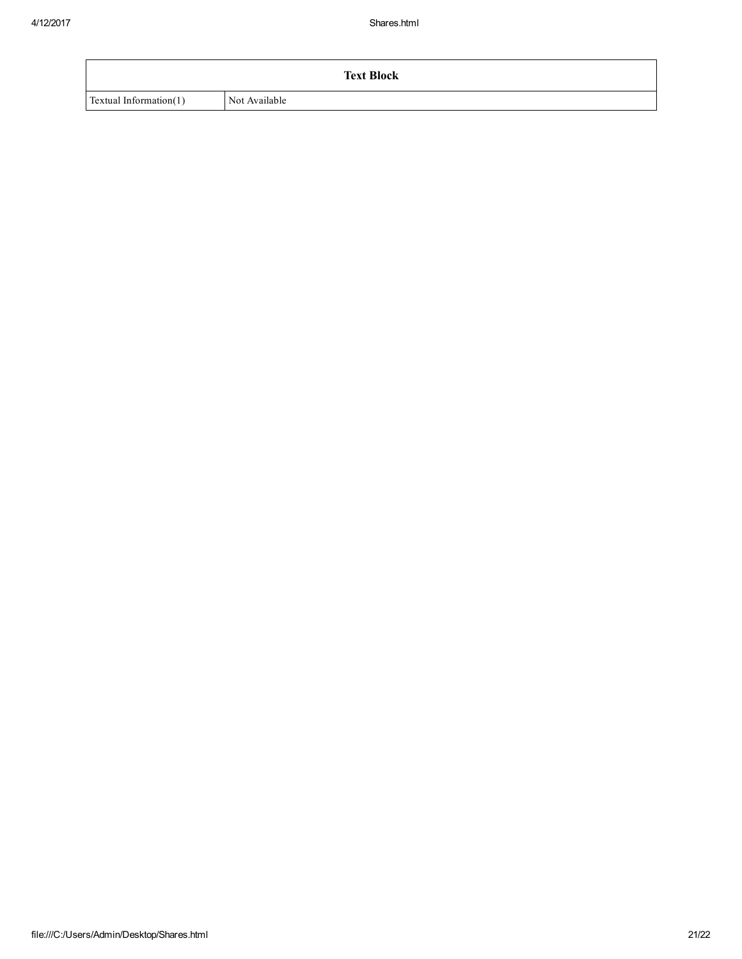|                        | <b>Text Block</b> |
|------------------------|-------------------|
| Textual Information(1) | Not Available     |